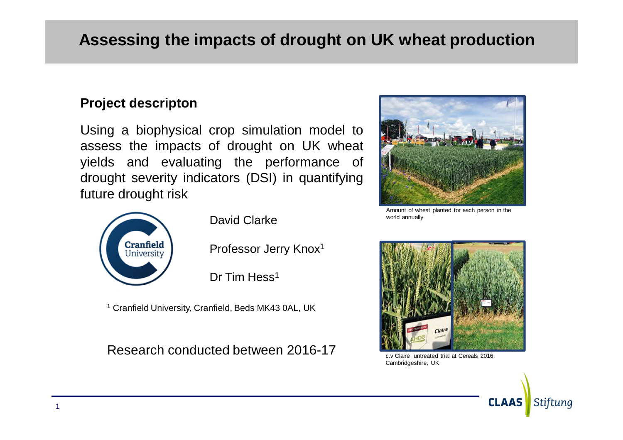# **Assessing the impacts of drought on UK wheat production**

#### **Project descripton**

Using a biophysical crop simulation model to assess the impacts of drought on UK wheat yields and evaluating the performance of drought severity indicators (DSI) in quantifying future drought risk



David Clarke

Professor Jerry Knox<sup>1</sup>

Dr Tim Hess<sup>1</sup>

<sup>1</sup> Cranfield University, Cranfield, Beds MK43 0AL, UK

Research conducted between 2016-17



Amount of wheat planted for each person in the world annually



c.v Claire untreated trial at Cereals 2016, Cambridgeshire, UK

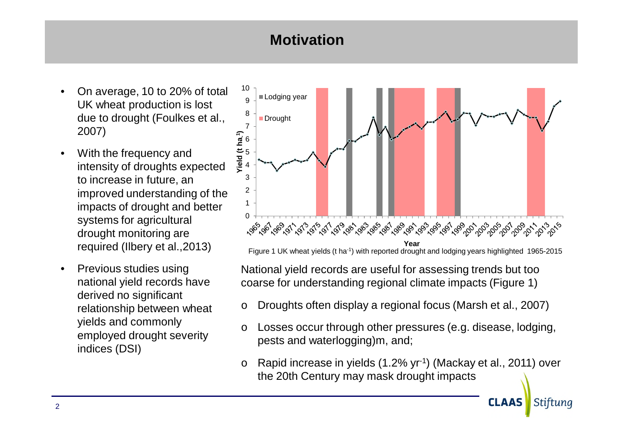## **Motivation**

- On average, 10 to 20% of total UK wheat production is lost due to drought (Foulkes et al., 2007)
- With the frequency and intensity of droughts expected to increase in future, an improved understanding of the impacts of drought and better systems for agricultural drought monitoring are required (Ilbery et al.,2013)
- Previous studies using national yield records have derived no significant relationship between wheat yields and commonly employed drought severity indices (DSI)



Figure 1 UK wheat yields (t ha-1) with reported drought and lodging years highlighted 1965-2015

National yield records are useful for assessing trends but too coarse for understanding regional climate impacts (Figure 1)

- Droughts often display a regional focus (Marsh et al., 2007)
- Losses occur through other pressures (e.g. disease, lodging, pests and waterlogging)m, and;
- Rapid increase in yields  $(1.2\% \, \text{yr}^{-1})$  (Mackay et al., 2011) over the 20th Century may mask drought impacts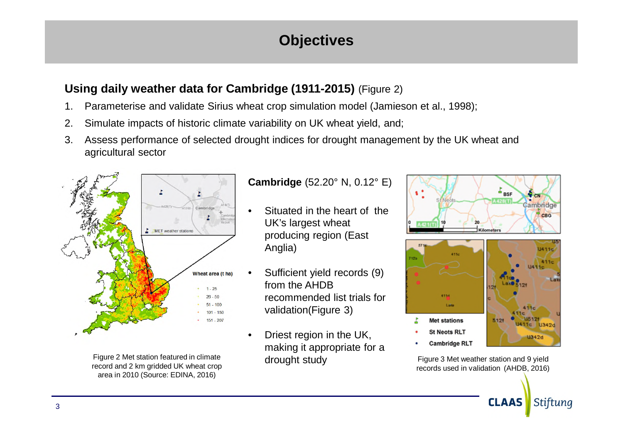## **Objectives**

#### **Using daily weather data for Cambridge (1911-2015)** (Figure 2)

- 1. Parameterise and validate Sirius wheat crop simulation model (Jamieson et al., 1998);
- 2. Simulate impacts of historic climate variability on UK wheat yield, and;
- 3. Assess performance of selected drought indices for drought management by the UK wheat and agricultural sector



Figure 2 Met station featured in climate record and 2 km gridded UK wheat crop area in 2010 (Source: EDINA, 2016)

#### **Cambridge** (52.20° N, 0.12° E)

- Situated in the heart of the UK's largest wheat producing region (East Anglia)
- Sufficient yield records (9) from the AHDB recommended list trials for validation(Figure 3)
- Driest region in the UK, making it appropriate for a drought study





Figure 3 Met weather station and 9 yield records used in validation (AHDB, 2016)

**CLAAS** 

Stiftung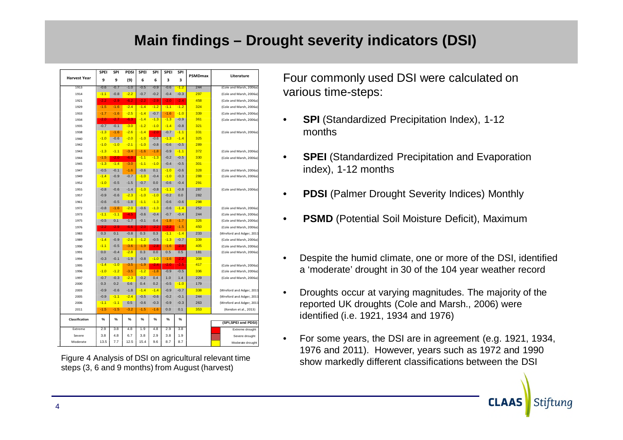## **Main findings – Drought severity indicators (DSI)**

|                     | SPEI   | SPI    | PDSI   | <b>SPEI</b> | SPI    | SPEI   | SPI    |                |                          |
|---------------------|--------|--------|--------|-------------|--------|--------|--------|----------------|--------------------------|
| <b>Harvest Year</b> | 9      | 9      | (9)    | 6           | 6      | з      | 3      | <b>PSMDmax</b> | Literature               |
| 1913                | $-0.6$ | $-0.7$ | $-1.0$ | $-0.5$      | $-0.9$ | $-0.6$ | $-1.2$ | 244            | (Cole and Marsh, 2006a)  |
| 1914                | $-1.1$ | $-0.8$ | $-2.2$ | $-0.7$      | $-0.2$ | $-0.4$ | $-0.3$ | 297            | (Cole and Marsh, 2006a)  |
| 1921                | $-2.2$ | $-2.9$ | $-6.2$ | $-2.2$      | $-2.9$ | $-2.0$ | $-2.4$ | 458            | (Cole and Marsh, 2006a)  |
| 1929                | $-1.5$ | $-1.6$ | $-2.4$ | $-1.4$      | $-1.2$ | $-1.1$ | $-1.2$ | 324            | (Cole and Marsh, 2006a)  |
| 1933                | $-1.7$ | $-1.6$ | $-2.5$ | $-1.4$      | $-0.7$ | $-1.6$ | $-1.0$ | 339            | (Cole and Marsh, 2006a)  |
| 1934                | $-2.0$ | $-2.7$ | $-6.3$ | $-1.4$      | $-1.3$ | $-1.3$ | $-0.9$ | 361            | (Cole and Marsh, 2006a)  |
| 1935                | $-0.7$ | $-0.1$ | $-3.0$ | $-1.2$      | $-1.0$ | $-1.4$ | $-0.8$ | 321            |                          |
| 1938                | $-1.3$ | $-1.6$ | $-2.6$ | $-1.4$      | $-2.0$ | $-0.7$ | $-1.1$ | 331            | (Cole and Marsh, 2006a)  |
| 1940                | $-1.0$ | $-0.6$ | $-2.0$ | $-1.0$      | $-0.6$ | $-1.3$ | $-1.4$ | 325            |                          |
| 1942                | $-1.0$ | $-1.0$ | $-2.1$ | $-1.0$      | $-0.8$ | $-0.6$ | $-0.5$ | 289            |                          |
| 1943                | $-1.3$ | $-1.1$ | $-3.4$ | $-1.6$      | $-1.8$ | $-0.9$ | $-1.1$ | 372            | (Cole and Marsh, 2006a)  |
| 1944                | $-1.5$ | $-2.0$ | $-6.0$ | $-1.1$      | $-1.3$ | $-0.2$ | $-0.5$ | 330            | (Cole and Marsh, 2006a)  |
| 1945                | $-1.3$ | $-1.4$ | $-3.0$ | $-1.1$      | $-1.0$ | $-0.4$ | $-0.5$ | 301            |                          |
| 1947                | $-0.5$ | $-0.1$ | $-1.6$ | $-0.6$      | 0.1    | $-1.0$ | $-0.6$ | 328            | (Cole and Marsh, 2006a)  |
| 1949                | $-1.4$ | $-0.9$ | $-0.7$ | $-1.0$      | $-0.4$ | $-1.0$ | $-0.3$ | 288            | (Cole and Marsh, 2006a)  |
| 1952                | $-1.0$ | $-0.5$ | $-1.5$ | $-0.7$      | 0.0    | $-0.6$ | $-0.4$ | 291            |                          |
| 1955                | $-0.8$ | $-0.6$ | $-1.4$ | $-1.0$      | $-0.8$ | $-1.1$ | $-0.8$ | 287            | (Cole and Marsh, 2006a)  |
| 1957                | $-0.9$ | $-0.6$ | $-2.3$ | $-1.0$      | $-1.0$ | $-0.2$ | 0.0    | 282            |                          |
| 1961                | $-0.6$ | $-0.5$ | $-1.8$ | $-1.1$      | $-1.3$ | $-0.6$ | $-0.6$ | 298            |                          |
| 1972                | $-0.8$ | $-1.6$ | $-2.0$ | $-0.6$      | $-1.3$ | $-0.6$ | $-1.4$ | 252            | (Cole and Marsh, 2006a)  |
| 1973                | $-1.1$ | $-1.1$ | $-4.5$ | $-0.6$      | $-0.4$ | $-0.7$ | $-0.4$ | 244            | (Cole and Marsh, 2006a)  |
| 1975                | $-0.5$ | 0.1    | $-1.7$ | $-0.1$      | 0.4    | $-1.8$ | $-1.7$ | 326            | (Cole and Marsh, 2006a)  |
| 1976                | -2.2   | $-2.9$ | -6.6   | $-2.0$      | -2.2   | $-2.2$ | $-1.5$ | 450            | (Cole and Marsh, 2006a)  |
| 1983                | 0.3    | 0.1    | $-0.8$ | 0.3         | 0.3    | $-1.1$ | $-1.4$ | 233            | (Wreford and Adger, 2011 |
| 1989                | $-1.4$ | $-0.9$ | $-2.6$ | $-1.2$      | $-0.5$ | $-1.3$ | $-0.7$ | 339            | (Cole and Marsh, 2006a)  |
| 1990                | $-1.1$ | $-0.5$ | $-3.6$ | $-1.9$      | $-2.8$ | $-1.6$ | $-2.0$ | 405            | (Cole and Marsh, 2006a)  |
| 1991                | 0.0    | $-0.4$ | $-2.8$ | 0.3         | 0.0    | 0.5    | 0.5    | 181            | (Cole and Marsh, 2006a)  |
| 1994                | $-0.3$ | $-0.1$ | $-1.9$ | $-0.8$      | $-1.0$ | $-1.6$ | $-2.2$ | 308            |                          |
| 1995                | $-1.4$ | $-1.0$ | $-3.5$ | $-1.9$      | $-2.4$ | $-2.0$ | $-2.5$ | 417            | (Cole and Marsh, 2006a)  |
| 1996                | $-1.0$ | $-1.2$ | $-3.5$ | $-1.2$      | $-1.8$ | $-0.9$ | $-0.5$ | 336            | (Cole and Marsh, 2006a)  |
| 1997                | $-0.7$ | $-0.3$ | $-2.3$ | $-0.2$      | 0.4    | 1.0    | 1.4    | 229            | (Cole and Marsh, 2006a)  |
| 2000                | 0.3    | 0.2    | 0.6    | 0.4         | 0.2    | $-0.5$ | $-1.0$ | 179            |                          |
| 2003                | $-0.9$ | $-0.6$ | $-1.8$ | $-1.4$      | $-1.4$ | $-0.9$ | $-0.7$ | 338            | (Wreford and Adger, 2011 |
| 2005                | $-0.9$ | $-1.1$ | $-2.4$ | $-0.5$      | $-0.6$ | $-0.2$ | $-0.1$ | 244            | (Wreford and Adger, 2011 |
| 2006                | $-1.1$ | $-1.1$ | 0.5    | $-0.6$      | $-0.3$ | $-0.9$ | $-0.3$ | 263            | (Wreford and Adger, 2011 |
| 2011                | $-1.5$ | $-1.5$ | $-3.2$ | $-1.5$      | $-1.6$ | 0.0    | 0.1    | 353            | (Kendon et al., 2013)    |
| Classification      | %      | %      | %      | %           | %      | %      | %      |                |                          |
|                     | 2.9    | 3.8    | 4.8    | 1.9         | 4.8    | 2.9    | 3.8    |                | (SPI, SPEI and PDSI)     |
| Extreme             |        |        |        |             |        |        |        |                | Extreme drought          |
| Severe              | 3.8    | 4.8    | 6.7    | 3.8         | 2.9    | 3.8    | 1.9    |                | Severe drought           |
| Moderate            | 13.5   | 7.7    | 12.5   | 15.4        | 9.6    | 8.7    | 8.7    |                | Moderate drought         |

Figure 4 Analysis of DSI on agricultural relevant time steps (3, 6 and 9 months) from August (harvest)

Four commonly used DSI were calculated on various time-steps:

- **SPI** (Standardized Precipitation Index), 1-12 months
- **SPEI** (Standardized Precipitation and Evaporation index), 1-12 months
- **PDSI** (Palmer Drought Severity Indices) Monthly
- **PSMD** (Potential Soil Moisture Deficit), Maximum
- Despite the humid climate, one or more of the DSI, identified a 'moderate' drought in 30 of the 104 year weather record
- Droughts occur at varying magnitudes. The majority of the reported UK droughts (Cole and Marsh., 2006) were identified (i.e. 1921, 1934 and 1976)
- For some years, the DSI are in agreement (e.g. 1921, 1934, 1976 and 2011). However, years such as 1972 and 1990 show markedly different classifications between the DSI

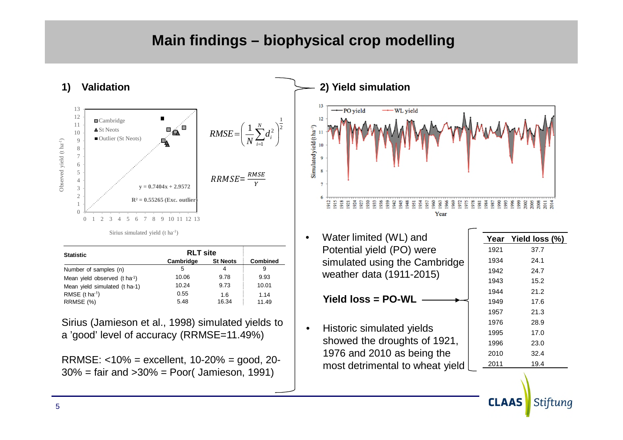### **Main findings – biophysical crop modelling**

2 1

 $\overline{\phantom{a}}$ J  $\setminus$ 



| <b>Statistic</b>                          | <b>RLT site</b> |                 |                 |
|-------------------------------------------|-----------------|-----------------|-----------------|
|                                           | Cambridge       | <b>St Neots</b> | <b>Combined</b> |
| Number of samples (n)                     | 5               | 4               | 9               |
| Mean yield observed (t ha <sup>-1</sup> ) | 10.06           | 9.78            | 9.93            |
| Mean yield simulated (t ha-1)             | 10.24           | 9.73            | 10.01           |
| RMSE $(t \text{ ha}^{-1})$                | 0.55            | 1.6             | 1.14            |
| RRMSE (%)                                 | 5.48            | 16.34           | 11.49           |

Sirius (Jamieson et al., 1998) simulated yields to a 'good' level of accuracy (RRMSE=11.49%)

RRMSE: <10% = excellent, 10-20% = good, 20- 30% = fair and >30% = Poor( Jamieson, 1991)



• Water limited (WL) and Potential yield (PO) were simulated using the Cambridge weather data (1911-2015)

**Yield loss = PO-WL**

• Historic simulated yields showed the droughts of 1921, 1976 and 2010 as being the most detrimental to wheat yield

| Year | Yield loss (%) |
|------|----------------|
| 1921 | 37.7           |
| 1934 | 24.1           |
| 1942 | 24.7           |
| 1943 | 15.2           |
| 1944 | 21.2           |
| 1949 | 17.6           |
| 1957 | 21.3           |
| 1976 | 28.9           |
| 1995 | 17.0           |
| 1996 | 23.0           |
| 2010 | 32.4           |
| 2011 | 19.4           |
|      |                |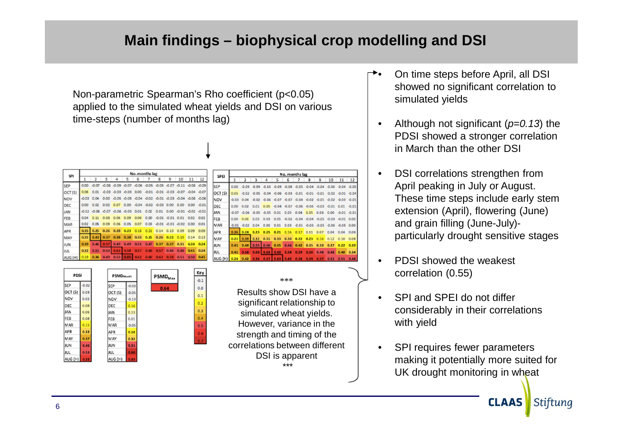## **Main findings – biophysical crop modelling and DSI**

Non-parametric Spearman's Rho coefficient (p<0.05) applied to the simulated wheat yields and DSI on various time-steps (number of months lag)

| <b>SPI</b> | No. months lag |                |      |                      |                                                                        |           |      |                            |      |                   |                        |      |  |
|------------|----------------|----------------|------|----------------------|------------------------------------------------------------------------|-----------|------|----------------------------|------|-------------------|------------------------|------|--|
|            |                |                |      |                      |                                                                        | 6         |      | 8                          | 9    | 10                | 11                     | 12   |  |
| SEP        |                |                |      |                      | 0.00 -0.07 -0.08 -0.09 -0.07 -0.06 -0.05 -0.05 -0.07 -0.11 -0.08 -0.09 |           |      |                            |      |                   |                        |      |  |
| OCT(S)     | 0.06           | 0.01           |      |                      | -0.03 -0.03 -0.03 0.00 -0.01 -0.01 -0.03 -0.07 -0.04 -0.07             |           |      |                            |      |                   |                        |      |  |
| NOV        |                | $-0.03 - 0.04$ |      |                      | 0.00 -0.05 -0.05 -0.04 -0.02 -0.01 -0.03 -0.04 -0.08 -0.06             |           |      |                            |      |                   |                        |      |  |
| DEC        | 0.00           | 0.02           |      |                      | 0.02 0.07 0.00 -0.04 -0.02 -0.03 0.00 0.00                             |           |      |                            |      |                   | $0.00 - 0.01$          |      |  |
| <b>JAN</b> |                |                |      |                      | -0.12 -0.08 -0.07 -0.08 -0.03                                          | 0.01      | 0.02 | 0.01                       |      |                   | 0.00 -0.01 -0.02 -0.01 |      |  |
| FEB        | 0.04           | 0.11           |      |                      | 0.08 0.06 0.09                                                         |           |      | 0.06 0.00 -0.01 -0.01 0.01 |      |                   | 0.02                   | 0.02 |  |
| MAR        | 0.02           | 0.05           | 0.09 |                      | 0.06 0.05                                                              | 0.07      | 0.03 | $-0.01 - 0.01 - 0.02$      |      |                   | 0.00                   | 0.01 |  |
| <b>APR</b> | 0.35           | 0.25           |      | $0.26$ $0.28$ $0.23$ |                                                                        | 0.18 0.21 |      | 0.14                       | 0.10 | 0.09              | 0.09                   | 0.09 |  |
| MAY        | 0.25           |                |      |                      | 0.43 0.37 0.38 0.38 0.33 0.25 0.26                                     |           |      |                            |      | $0.22 \quad 0.15$ | $0.14$ $0.13$          |      |  |
| <b>JUN</b> | 0.39           |                |      |                      | 0.46 0.57 0.49 0.49 0.51 0.47 0.37 0.37 0.31                           |           |      |                            |      |                   | 0.24                   | 0.24 |  |
| <b>JUL</b> | 0.32           | 0.51           |      | $0.53$ $0.62$ $0.58$ |                                                                        | 0.57      | 0.60 | 0.57                       | 0.46 | 0.46              | 0.41                   | 0.34 |  |
| AUG (H)    | 0.19           |                | 0.49 | 0.53                 |                                                                        | 0.62      | 0.60 | 0.62 0.58 0.51             |      |                   | 0.50                   | 0.45 |  |



| SPEI       | No. months lag |         |                     |                                                             |                                          |             |                                         |                      |      |      |                                         |               |  |
|------------|----------------|---------|---------------------|-------------------------------------------------------------|------------------------------------------|-------------|-----------------------------------------|----------------------|------|------|-----------------------------------------|---------------|--|
|            |                |         | $\mathbf{\hat{z}}$  | ۷                                                           | ς                                        | 6           | 7                                       | 8                    | 9    | 10   |                                         | $11 \quad 12$ |  |
| SEP        | 0.00           | $-0.09$ |                     | 0.09 0.10 0.09 0.08 0.05 0.04 0.04 0.06 0.04 0.05           |                                          |             |                                         |                      |      |      |                                         |               |  |
| OCT (S)    | 0.05           | $-0.02$ |                     | -0.05 -0.04 -0.06 -0.03 -0.01 -0.01 -0.01 -0.02 -0.01 -0.04 |                                          |             |                                         |                      |      |      |                                         |               |  |
| NOV        | 0.03           | 0.04    |                     | -0.02 -0.06 -0.07 -0.07 -0.04 -0.02 -0.01 -0.02 -0.03 -0.01 |                                          |             |                                         |                      |      |      |                                         |               |  |
| DEC        | 0.00           | 0.02    | 0.01                |                                                             | 0.05 -0.04 -0.07 -0.06 -0.06 -0.03 -0.01 |             |                                         |                      |      |      | 0.01                                    | $-0.01$       |  |
| JAN        | 0.07           | $-0.06$ | $-0.05$             | $-0.05$                                                     | 0.01                                     | 0.05        | 0.04                                    | 0.05                 | 0.03 | 0.00 | $-0.01 - 0.01$                          |               |  |
| FEB        | 0.00           | 0.06    | 0.03                | 0.03                                                        | 0.05                                     |             | $-0.02$ $-0.04$ $-0.04$ $-0.05$ $-0.03$ |                      |      |      | $-0.01$                                 | 0.00          |  |
| <b>MAR</b> | 0.01           |         | $-0.02$ $0.04$ 0.00 |                                                             |                                          |             |                                         |                      |      |      | 0.01 0.03 0.01 0.05 0.05 0.06 0.03 0.00 |               |  |
| <b>APR</b> | 36             | 0.24    | 0.23                | $0.25 -$                                                    | 0.21                                     | 0.16        |                                         | $0.17$ $0.11$ $0.07$ |      |      | 0.04 0.04 0.04                          |               |  |
| MAY        | 0.21           | 0.39    | 0.32                | 0.31                                                        | 0.33                                     | 0.30        | 0.22                                    | 0.23                 | 0.16 | 0.12 |                                         | $0.10$ $0.08$ |  |
| JUN        | 0.41           | 0.44    | 0.53                | 0.46                                                        |                                          | $0.45$ 0.46 | 0.42                                    | 0.35                 | 0.33 | 0.27 | 0.22                                    | 0.20          |  |
| <b>JUL</b> | 0.41           | 0.58    | 0.58                | 0.65                                                        | 0.60                                     | 0.58        | 0.59                                    | 0.56                 | 0.48 | 0.48 | 0.40                                    | 0.34          |  |
| AUG (H)    | 0.24           | 0.42    | 0.56                | 0.57                                                        | 0.631                                    | 0.60        | 0.58                                    |                      |      |      | 0.59 0.57 0.52 0.51                     | 0.46          |  |

#### \*\*\*

Results show DSI have a significant relationship to simulated wheat yields. However, variance in the strength and timing of the correlations between different DSI is apparent \*\*\*

- On time steps before April, all DSI showed no significant correlation to simulated yields
- Although not significant (*p=0.13*) the PDSI showed a stronger correlation in March than the other DSI
- DSI correlations strengthen from April peaking in July or August. These time steps include early stem extension (April), flowering (June) and grain filling (June-July) particularly drought sensitive stages
- PDSI showed the weakest correlation (0.55)
- SPI and SPEI do not differ considerably in their correlations with yield
- SPI requires fewer parameters making it potentially more suited for UK drought monitoring in wheat